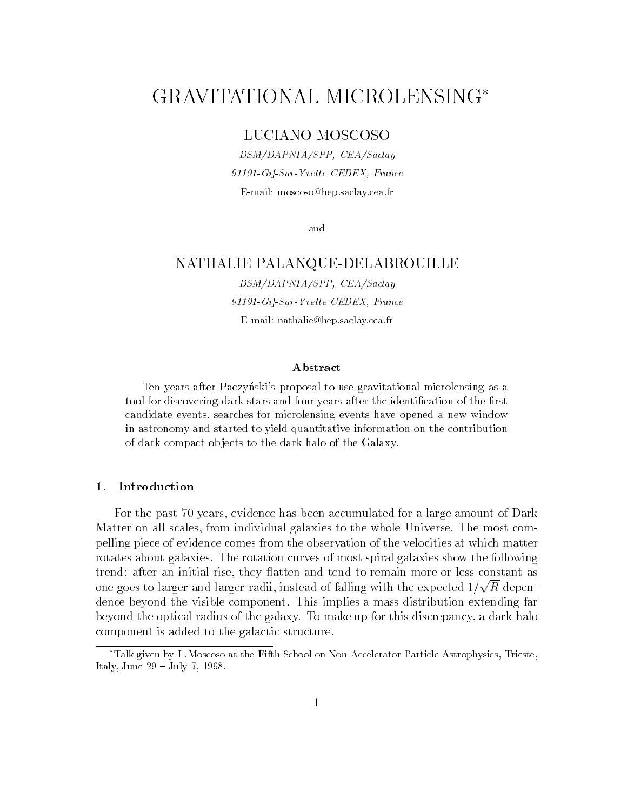# GRAVITATIONAL MICROLENSING

# LUCIANO MOSCOSO

DSM/DAPNIA/SPP, CEA/Saclay 91191-Gif-Sur-Yvette CEDEX, France E-mail: moscoso@hep.saclay.cea.fr

and

## NATHALIE PALANQUE-DELABROUILLE

DSM/DAPNIA/SPP, CEA/Saclay 91191-Gif-Sur-Yvette CEDEX, France E-mail: nathalie@hep.saclay.cea.fr

#### Abstract

Ten years after Paczyński's proposal to use gravitational microlensing as a tool for discovering dark stars and four years after the identification of the first candidate events, searches for microlensing events have opened a new windowin astronomy and started to yield quantitative information on the contributionof dark compact ob jects to the dark halo of the Galaxy.

## $1.$

For the past 70 years, evidence has been accumulated for a large amount of Dark Matter on all scales, from individual galaxies to the whole Universe. The most compelling piece of evidence comes from the observation of the velocities at which matter rotates about galaxies. The rotation curves of most spiral galaxies show the following trend: after an initial rise, they flatten and tend to remain more or less constant as one goes to larger and larger radii, instead of falling with the expected  $1/\sqrt{R}$  dependence beyond the visible component. This implies a mass distribution extending far beyond the optical radius of the galaxy. To make up for this discrepancy, a dark halo component is added to the galactic structure.

Talk given by L.Moscoso at the Fifth School on Non-Accelerator Particle Astrophysics, Trieste, Italy, June  $29 -$  July 7, 1998.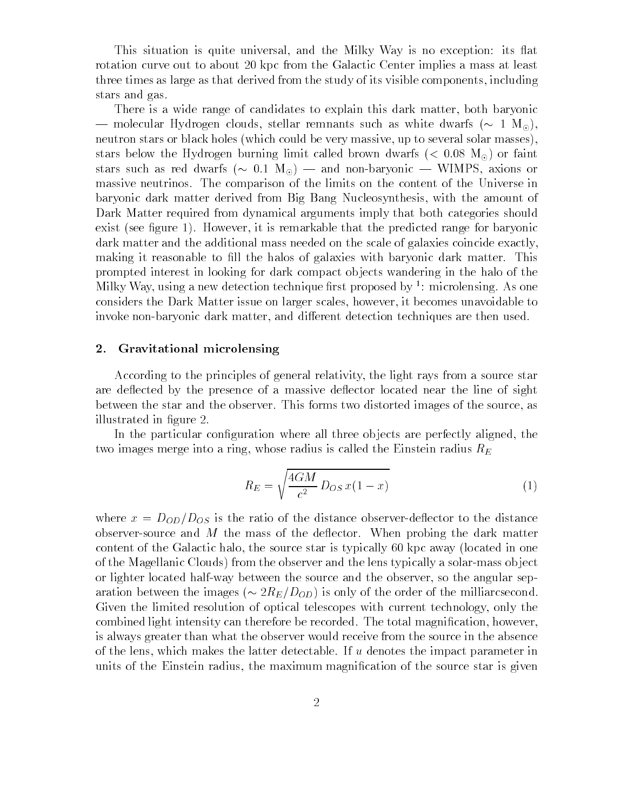This situation is quite universal, and the Milky Way is no exception: its flat rotation curve out to about 20 kpc from the Galactic Center implies a mass at least three times as large as that derived from the study of its visible components, including stars and gas.

There is a wide range of candidates to explain this dark matter, both baryonic — molecular Hydrogen clouds, stellar remnants such as white dwarfs ( $\sim 1 \, \text{M}_\odot$ ). neutron stars or black holes (which could be very massive, up to several solar masses), stars below the Hydrogen burning limit called brown dwarfs ( $< 0.08$  M<sub>o</sub>) or faint stars such as red dwarfs ( $\sim 0.1 \text{ M}_{\odot}$ ) — and non-baryonic — WIMPS, axions or massive neutrinos. The comparison of the limits on the content of the Universe in baryonic dark matter derived from Big Bang Nucleosynthesis, with the amount of Dark Matter required from dynamical arguments imply that both categories should exist (see figure 1). However, it is remarkable that the predicted range for baryonic dark matter and the additional mass needed on the scale of galaxies coincide exactly, making it reasonable to fill the halos of galaxies with baryonic dark matter. This prompted interest in looking for dark compact ob jects wandering in the halo of the Milky Way, using a new detection technique rst proposed by <sup>1</sup> : microlensing. As one considers the Dark Matter issue on larger scales, however, it becomes unavoidable to invoke non-baryonic dark matter, and different detection techniques are then used.

## 2. Gravitational microlensing

According to the principles of general relativity, the light rays from a source star are deflected by the presence of a massive deflector located near the line of sight between the star and the observer. This forms two distorted images of the source, as illustrated in figure 2.

In the particular configuration where all three objects are perfectly aligned, the two images merge into a ring, whose radius is called the Einstein radius  $R_E$ 

$$
R_E = \sqrt{\frac{4GM}{c^2} D_{OS} x (1 - x)}
$$
\n(1)

where  $x = D_{OD}/D_{OS}$  is the ratio of the distance observer-deflector to the distance observer-source and  $M$  the mass of the deflector. When probing the dark matter content of the Galactic halo, the source star is typically 60 kpc away (located in one of the Magellanic Clouds) from the observer and the lens typically a solar-mass ob ject or lighter located half-way between the source and the observer, so the angular separation between the images ( $\sim 2R_E/D_{OD}$ ) is only of the order of the milliarcsecond. Given the limited resolution of optical telescopes with current technology, only the combined light intensity can therefore be recorded. The total magnication, however, is always greater than what the observer would receive from the source in the absence of the lens, which makes the latter detectable. If  $u$  denotes the impact parameter in units of the Einstein radius, the maximum magnication of the source star is given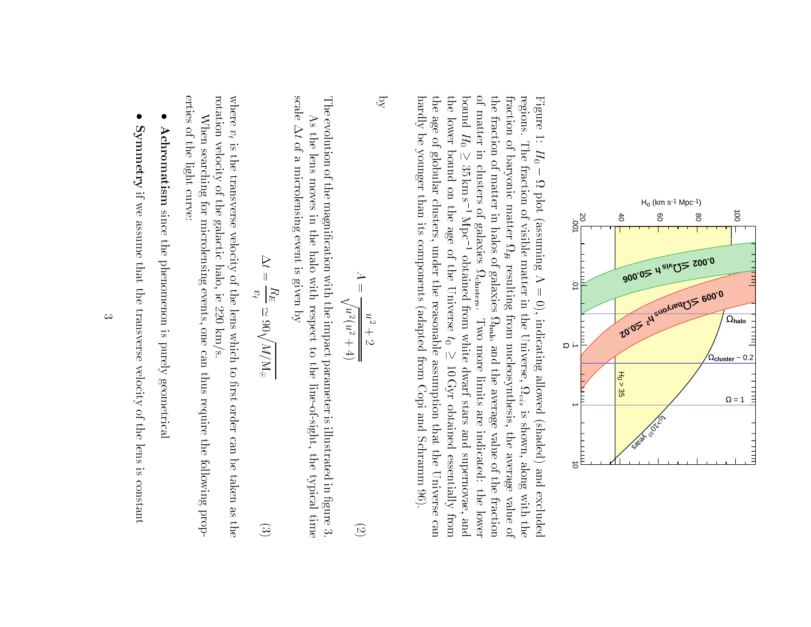

hardly be younger than its components (adapted from Copi and Schramm 96). the age of globular clusters, under the reasonable assumption that the Universe can the lower bound on the age of the Universe  $t_0 \ge 10 \,\mathrm{Gyr}$  obtained essentially from of matter in clusters of galaxies  $\Omega_{\text{cluster}}$ . Two more limits are indicated: the lower the fraction of matter in halos of galaxies  $\Omega_{\text{halo}}$  and the average value of the fraction fraction of baryonic matter  $\Omega_B$  resulting from nucleosynthesis, the average value of regions. The fraction of visible matter in the Universe,  $\Omega_{vis}$  is shown, along with the Figure 1: hardly be younger than its components (adapted from Copi and Schramm 96). the age of globular clusters, under the reasonable assumption that the Universe canthe lower bound on the age of the Universebound  $H_0$ boundof matter in clusters of galaxies the fraction of matter in halos of galaxies fraction of baryonic matter regions. The fraction of visible matter in the Universe, Figure 1: $\overline{a}$  $H_0-\Omega$  plot (assuming  $\Lambda$  $\geq$  35 km s<sup>-1</sup> Mpc<sup>-1</sup> obtained from white dwarf stars and supernovae. H0 $\overline{\phantom{a}}$  35 km s1 plot (assuming = 0), indicating allowed (shaded) and excluded Mpc1B obtained from white dwarf stars and supernovae, and resulting from nucleosynthesis, the average value ofclusters. Two more limits are indicated: the lower limits are indicated: the lower limits are indicated: the lower limits are in  $=$  0), indicating allowed (shaded) and excluded halo $\overline{c}$  and the average value of the fraction $\overline{\phantom{a}}$  10 Gyr obtained essentially fromvis is shown, along with thepure

$$
A = \frac{u^2 + 2}{\sqrt{u^2(u^2 + 4)}}
$$
 (2)

i<br>i

 $\overline{Q}$ 

The evolution of the magnification with the impact parameter is illustrated in figure 3. The evolution of the magnication with the impact parameter is illustrated in gure 3.As the lens moves in the halo with respect to the line-of-sight, the typical time  $A$  the line-of-sight, the halo with respect to the line-of-sight, the typical time-of-sight, the typical time-of-sight, the typical time-of-sight, the typical time-of-sight, the typical time-of-sight, the typical time-of

scale  $\Delta t$  of a microlensing event is given by of a microlensing event is given byÞ

$$
\Delta t = \frac{H_E}{v_t} \simeq 90 \sqrt{M/W_0} \tag{3}
$$

rotation velocity of the galactic halo, ie 220 km/s. where  $v_t$  is the transverse velocity of the lens which to first order can be taken as the rotation velocity of the galactic halo, ie 220 km/s.where the control of the control of the control of the control of the control of the control of the control of the control of the control of the control of the control of the control of the control of the control of the co <sup>d</sup> is the transverse velocity of the lens which to take  $\mathbf{r}_i$ 

erties of the light curve: erties of the light curve:When searching for microlensing events, one can thus require the following prop-When searching for microlensing events, one can thus require the following prop-

- l Achromatism since the phenomenon is purely geometrical Achromatismsince the phenomenon is purely geometrical
- l Symmetry if we assume that the transverse velocity of the lens is constant Symmetry

if we assume that the transverse velocity of the lens is constant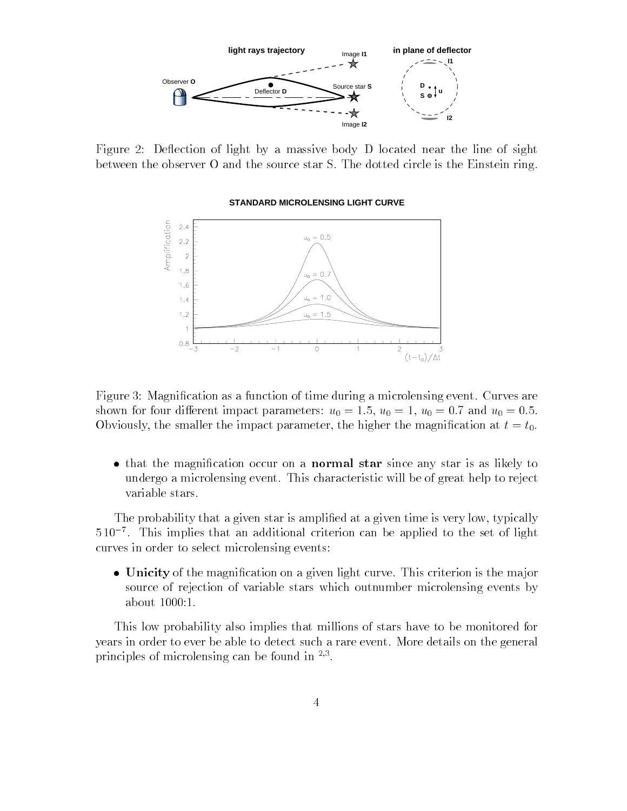

Figure 2: Deflection of light by a massive body D located near the line of sight between the observer O and the source star S. The dotted circle is the Einstein ring.

#### **STANDARD MICROLENSING LIGHT CURVE**



Figure 3: Magnication as a function of time during a microlensing event. Curves are shown for four different impact parameters:  $u_0 = 1.5$ ,  $u_0 = 1$ ,  $u_0 = 0.7$  and  $u_0 = 0.5$ . Obviously, the smaller the impact parameter, the higher the magnification at  $t = t_0$ .

• that the magnification occur on a **normal star** since any star is as likely to undergo a microlensing event. This characteristic will be of great help to reject variable stars.

The probability that a given star is amplified at a given time is very low, typically 5 107 . This implies that an additional criterion can be applied to the set of light curves in order to select microlensing events:

• Unicity of the magnification on a given light curve. This criterion is the major source of rejection of variable stars which outnumber microlensing events by about 1000:1.

This low probability also implies that millions of stars have to be monitored for years in order to ever be able to detect such a rare event. More details on the general principles of interolensing can be found in <sup>37</sup>.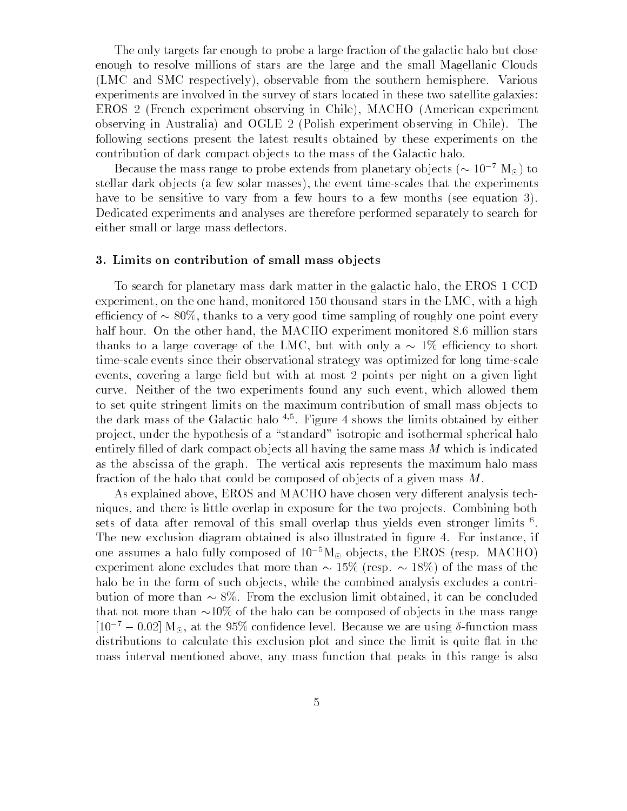The only targets far enough to probe a large fraction of the galactic halo but close enough to resolve millions of stars are the large and the small Magellanic Clouds (LMC and SMC respectively), observable from the southern hemisphere. Various experiments are involved in the survey of stars located in these two satellite galaxies: EROS 2 (French experiment observing in Chile), MACHO (American experiment observing in Australia) and OGLE 2 (Polish experiment observing in Chile). The following sections present the latest results obtained by these experiments on the contribution of dark compact objects to the mass of the Galactic halo.

Because the mass range to probe extends from planetary objects ( $\sim 10^{-7}$  M<sub>o</sub>) to stellar dark objects (a few solar masses), the event time-scales that the experiments have to be sensitive to vary from a few hours to a few months (see equation 3). Dedicated experiments and analyses are therefore performed separately to search for either small or large mass deflectors.

## 3. Limits on contribution of small mass ob jects

To search for planetary mass dark matter in the galactic halo, the EROS 1 CCD experiment, on the one hand, monitored 150 thousand stars in the LMC, with a high efficiency of  $\sim 80\%$ , thanks to a very good time sampling of roughly one point every half hour. On the other hand, the MACHO experiment monitored 8.6 million stars thanks to a large coverage of the LMC, but with only a  $\sim 1\%$  efficiency to short time-scale events since their observational strategy was optimized for long time-scale events, covering a large field but with at most 2 points per night on a given light curve. Neither of the two experiments found any such event, which allowed them to set quite stringent limits on the maximum contribution of small mass ob jects to the dark mass of the Galactic halo  $\%$  . Figure 4 shows the limits obtained by either project, under the hypothesis of a "standard" isotropic and isothermal spherical halo entirely filled of dark compact objects all having the same mass  $M$  which is indicated as the abscissa of the graph. The vertical axis represents the maximum halo mass fraction of the halo that could be composed of objects of a given mass M.

As explained above, EROS and MACHO have chosen very different analysis techniques, and there is little overlap in exposure for the two projects. Combining both sets of data after removal of this small overlap thus yields even stronger limits f. The new exclusion diagram obtained is also illustrated in figure 4. For instance, if one assumes a halo fully composed of  $10^{-5}M_{\odot}$  objects, the EROS (resp. MACHO) experiment alone excludes that more than  $\sim 15\%$  (resp.  $\sim 18\%)$  of the mass of the halo be in the form of such objects, while the combined analysis excludes a contribution of more than  $\sim 8\%$ . From the exclusion limit obtained, it can be concluded that not more than  $\sim 10\%$  of the halo can be composed of objects in the mass range  $[10^{-7} - 0.02]$  M<sub>o</sub>, at the 95% confidence level. Because we are using  $\delta$ -function mass distributions to calculate this exclusion plot and since the limit is quite flat in the mass interval mentioned above, any mass function that peaks in this range is also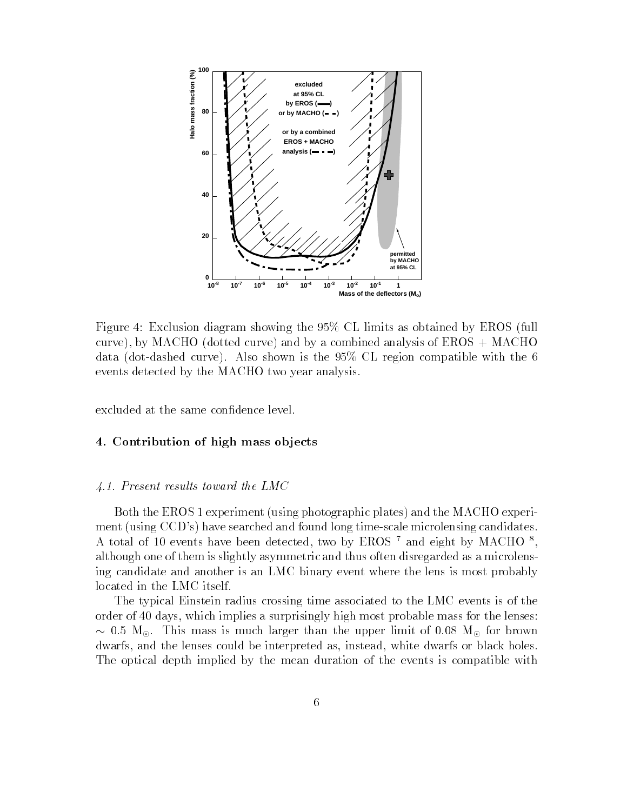

Figure 4: Exclusion diagram showing the 95% CL limits as obtained by EROS (full curve), by MACHO (dotted curve) and by a combined analysis of EROS + MACHO data (dot-dashed curve). Also shown is the 95% CL region compatible with the 6 events detected by the MACHO two year analysis.

excluded at the same confidence level.

## 4. Contribution of high mass ob jects

## 4.1. Present results toward the LMC

Both the EROS 1 experiment (using photographic plates) and the MACHO experiment (using CCD's) have searched and found long time-scale microlensing candidates. A total of 10 events have been detected, two by EROS  $^{\circ}$  and eight by MACHO  $^{\circ}$ ,  $^{\circ}$ although one of them is slightly asymmetric and thus often disregarded as a microlensing candidate and another is an LMC binary event where the lens is most probably located in the LMC itself.

The typical Einstein radius crossing time associated to the LMC events is of the order of 40 days, which implies a surprisingly high most probable mass for the lenses:  $\sim 0.5$  M<sub>o</sub>. This mass is much larger than the upper limit of 0.08 M<sub>o</sub> for brown dwarfs, and the lenses could be interpreted as, instead, white dwarfs or black holes. The optical depth implied by the mean duration of the events is compatible with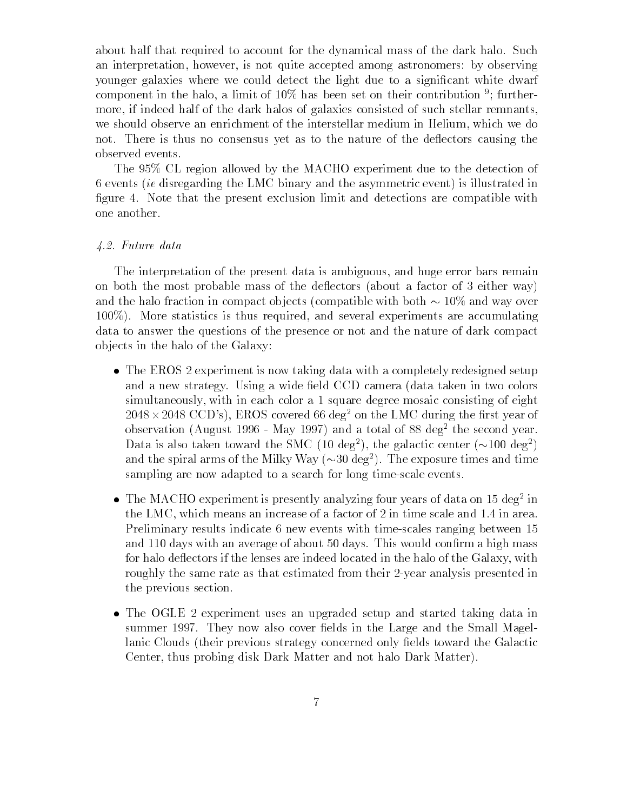about half that required to account for the dynamical mass of the dark halo. Such an interpretation, however, is not quite accepted among astronomers: by observing younger galaxies where we could detect the light due to a significant white dwarf component in the halo, a limit of 10% has been set on their contribution  $\,$  ; furthermore, if indeed half of the dark halos of galaxies consisted of such stellar remnants, we should observe an enrichment of the interstellar medium in Helium, which we do not. There is thus no consensus yet as to the nature of the deflectors causing the observed events.

The 95% CL region allowed by the MACHO experiment due to the detection of 6 events (ie disregarding the LMC binary and the asymmetric event) is illustrated in figure 4. Note that the present exclusion limit and detections are compatible with one another.

#### 4.2. Future data

The interpretation of the present data is ambiguous, and huge error bars remain on both the most probable mass of the de
ectors (about a factor of 3 either way) and the halo fraction in compact objects (compatible with both  $\sim 10\%$  and way over 100%). More statistics is thus required, and several experiments are accumulating data to answer the questions of the presence or not and the nature of dark compact ob jects in the halo of the Galaxy:

- The EROS 2 experiment is now taking data with a completely redesigned setup and a new strategy. Using a wide field CCD camera (data taken in two colors simultaneously, with in each color a 1 square degree mosaic consisting of eight  $2048 \times 2048$  CCD's), EROS covered 66 deg<sup>2</sup> on the LMC during the first year of observation (August 1996 - May 1997) and a total of 88 deg<sup>2</sup> the second year. Data is also taken toward the SMC (10 deg<sup>2</sup>), the galactic center ( $\sim$ 100 deg<sup>2</sup>) and the spiral arms of the Milky Way  $({\sim}30 \text{ deg}^2)$ . The exposure times and time sampling are now adapted to a search for long time-scale events.
- $\bullet$  -fine macho experiment is presently analyzing four years of data on 15 deg  $\,$  m  $\,$ the LMC, which means an increase of a factor of 2 in time scale and 1.4 in area. Preliminary results indicate 6 new events with time-scales ranging between 15 and 110 days with an average of about 50 days. This would confirm a high mass for halo deflectors if the lenses are indeed located in the halo of the Galaxy, with roughly the same rate as that estimated from their 2-year analysis presented in the previous section.
- The OGLE 2 experiment uses an upgraded setup and started taking data in summer 1997. They now also cover fields in the Large and the Small Magellanic Clouds (their previous strategy concerned only fields toward the Galactic Center, thus probing disk Dark Matter and not halo Dark Matter).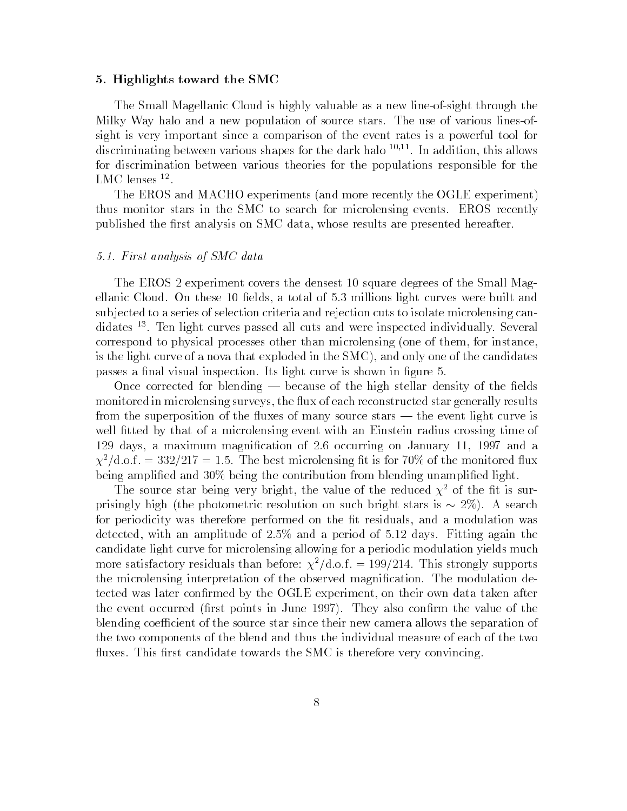#### 5. Highlights toward the SMC

The Small Magellanic Cloud is highly valuable as a new line-of-sight through the Milky Way halo and a new population of source stars. The use of various lines-ofsight is very important since a comparison of the event rates is a powerful tool for discriminating between various shapes for the dark halo  $10,11$ . In addition, this allows for discrimination between various theories for the populations responsible for the LIMU TEILSES <sup>--</sup>

The EROS and MACHO experiments (and more recently the OGLE experiment) thus monitor stars in the SMC to search for microlensing events. EROS recently published the first analysis on SMC data, whose results are presented hereafter.

#### 5.1. First analysis of SMC data

The EROS 2 experiment covers the densest 10 square degrees of the Small Magellanic Cloud. On these 10 fields, a total of 5.3 millions light curves were built and sub jected to a series of selection criteria and rejection cuts to isolate microlensing candidates 13. Ten light curves passed all cuts and were inspected individually. Several correspond to physical processes other than microlensing (one of them, for instance, is the light curve of a nova that exploded in the SMC), and only one of the candidates passes a final visual inspection. Its light curve is shown in figure 5.

Once corrected for blending  $-$  because of the high stellar density of the fields monitored in microlensing surveys, the flux of each reconstructed star generally results from the superposition of the fluxes of many source stars — the event light curve is well fitted by that of a microlensing event with an Einstein radius crossing time of 129 days, a maximum magnication of 2.6 occurring on January 11, 1997 and a  $\chi^2/\text{d.o.f.} = 332/217 = 1.5$ . The best microlensing fit is for 70% of the monitored flux being amplified and 30% being the contribution from blending unamplified light.

The source star being very bright, the value of the reduced  $\chi^2$  of the fit is surprisingly high (the photometric resolution on such bright stars is  $\sim 2\%$ ). A search for periodicity was therefore performed on the fit residuals, and a modulation was detected, with an amplitude of 2.5% and a period of 5.12 days. Fitting again the candidate light curve for microlensing allowing for a periodic modulation yields much more satisfactory residuals than before:  $\chi^2/\text{d.o.f.} = 199/214$ . This strongly supports the microlensing interpretation of the observed magnication. The modulation detected was later conrmed by the OGLE experiment, on their own data taken after the event occurred (first points in June 1997). They also confirm the value of the blending coefficient of the source star since their new camera allows the separation of the two components of the blend and thus the individual measure of each of the two fluxes. This first candidate towards the SMC is therefore very convincing.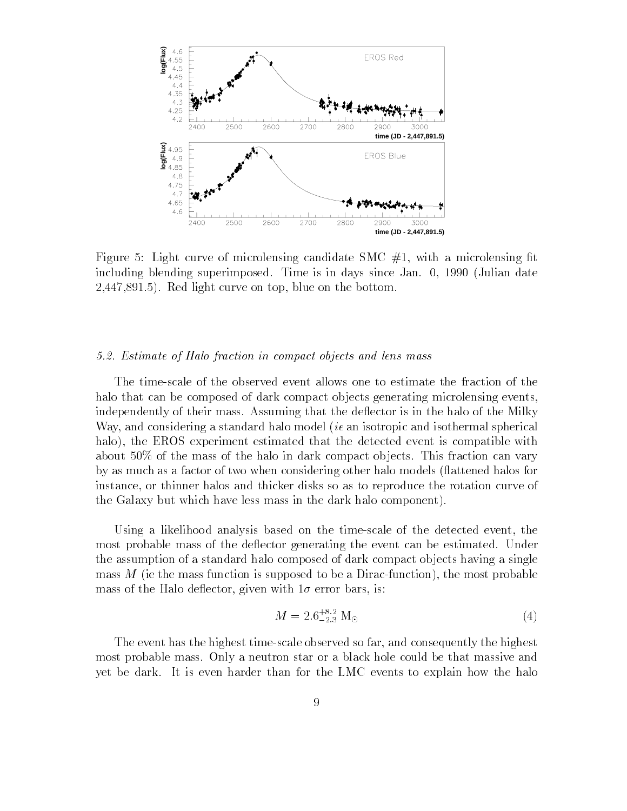

Figure 5: Light curve of microlensing candidate SMC  $#1$ , with a microlensing fit including blending superimposed. Time is in days since Jan. 0, 1990 (Julian date 2,447,891.5). Red light curve on top, blue on the bottom.

#### 5.2. Estimate of Halo fraction in compact objects and lens mass

The time-scale of the observed event allows one to estimate the fraction of the halo that can be composed of dark compact objects generating microlensing events, independently of their mass. Assuming that the deflector is in the halo of the Milky Way, and considering a standard halo model *(ie an isotropic and isothermal spherical* halo), the EROS experiment estimated that the detected event is compatible with about 50% of the mass of the halo in dark compact ob jects. This fraction can vary by as much as a factor of two when considering other halo models (flattened halos for instance, or thinner halos and thicker disks so as to reproduce the rotation curve of the Galaxy but which have less mass in the dark halo component).

Using a likelihood analysis based on the time-scale of the detected event, the most probable mass of the deflector generating the event can be estimated. Under the assumption of a standard halo composed of dark compact ob jects having a single mass  $M$  (ie the mass function is supposed to be a Dirac-function), the most probable mass of the Halo deflector, given with  $1\sigma$  error bars, is:

$$
M = 2.6^{+8.2}_{-2.3} \text{ M}_{\odot} \tag{4}
$$

The event has the highest time-scale observed so far, and consequently the highest most probable mass. Only a neutron star or a black hole could be that massive and yet be dark. It is even harder than for the LMC events to explain how the halo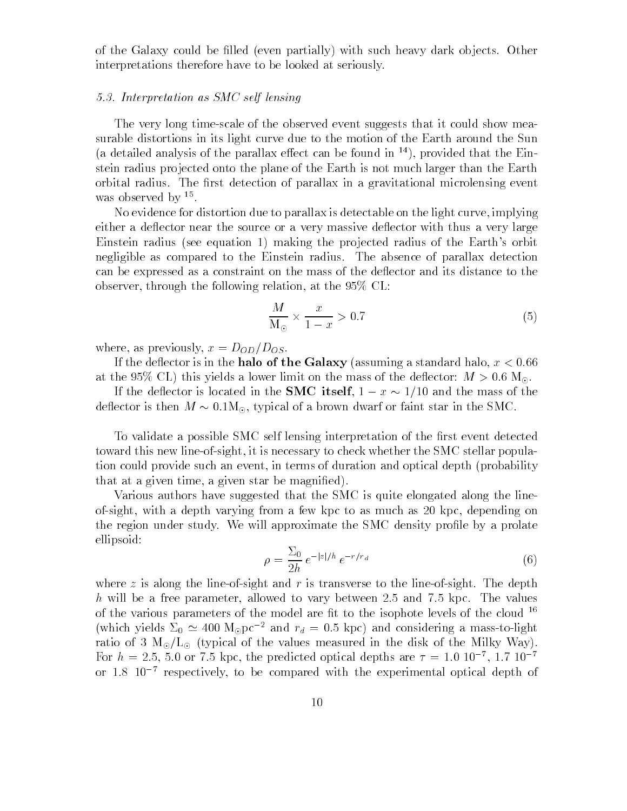of the Galaxy could be filled (even partially) with such heavy dark objects. Other interpretations therefore have to be looked at seriously.

#### 5.3. Interpretation as SMC self lensing

The very long time-scale of the observed event suggests that it could show measurable distortions in its light curve due to the motion of the Earth around the Sun (a detailed analysis of the parallax effect can be found in  $^{14}$ ), provided that the Einstein radius projected onto the plane of the Earth is not much larger than the Earth orbital radius. The first detection of parallax in a gravitational microlensing event was observed by T.

No evidence for distortion due to parallax is detectable on the light curve, implying either a deflector near the source or a very massive deflector with thus a very large Einstein radius (see equation 1) making the projected radius of the Earth's orbit negligible as compared to the Einstein radius. The absence of parallax detection can be expressed as a constraint on the mass of the deflector and its distance to the observer, through the following relation, at the 95% CL:

$$
\frac{M}{\mathrm{M}_{\odot}} \times \frac{x}{1-x} > 0.7 \tag{5}
$$

where, as previously,  $x = D_{OD}/D_{OS}$ .

If the deflector is in the halo of the Galaxy (assuming a standard halo,  $x < 0.66$ ) at the 95% CL) this yields a lower limit on the mass of the deflector:  $M > 0.6$  M<sub>o</sub>.

If the deflector is located in the **SMC** itself,  $1 - x \sim 1/10$  and the mass of the deflector is then  $M \sim 0.1 M_{\odot}$ , typical of a brown dwarf or faint star in the SMC.

To validate a possible SMC self lensing interpretation of the first event detected toward this new line-of-sight, it is necessary to check whether the SMC stellar population could provide such an event, in terms of duration and optical depth (probability that at a given time, a given star be magnied).

Various authors have suggested that the SMC is quite elongated along the lineof-sight, with a depth varying from a few kpc to as much as 20 kpc, depending on the region under study. We will approximate the SMC density profile by a prolate ellipsoid:

$$
\rho = \frac{\Sigma_0}{2h} \, e^{-|z|/h} \, e^{-r/r_d} \tag{6}
$$

where z is along the line-of-sight and r is transverse to the line-of-sight. The depth h will be a free parameter, allowed to vary between 2.5 and 7.5 kpc. The values of the various parameters of the model are fit to the isophote levels of the cloud  $^{16}$ (which yields  $\Sigma_0 \simeq 400 \text{ M}_{\odot} \text{pc}^{-2}$  and  $r_d = 0.5 \text{ kpc}$ ) and considering a mass-to-light ratio of 3  $M_{\odot}/L_{\odot}$  (typical of the values measured in the disk of the Milky Way). For  $n = 2.5$ , 5.0 or 7.5 kpc, the predicted optical depths are  $\tau = 1.0$  10  $^\circ$  , 1.7 10 or  $1.8 \, 10^{-7}$  respectively, to be compared with the experimental optical depth of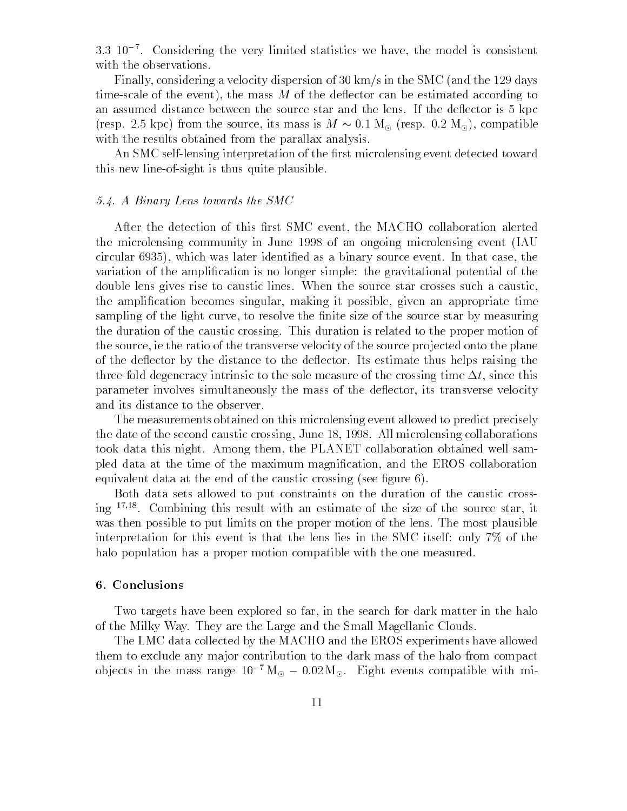3:3 107 . Considering the very limited statistics we have, the model is consistent with the observations.

Finally, considering a velocity dispersion of 30 km/s in the SMC (and the 129 days time-scale of the event), the mass  $M$  of the deflector can be estimated according to an assumed distance between the source star and the lens. If the deflector is 5 kpc (resp. 2.5 kpc) from the source, its mass is  $M \sim 0.1 \text{ M}_{\odot}$  (resp. 0.2 M<sub>o</sub>), compatible with the results obtained from the parallax analysis.

An SMC self-lensing interpretation of the first microlensing event detected toward this new line-of-sight is thus quite plausible.

#### 5.4. A Binary Lens towards the SMC

After the detection of this first SMC event, the MACHO collaboration alerted the microlensing community in June 1998 of an ongoing microlensing event (IAU circular 6935), which was later identied as a binary source event. In that case, the variation of the amplication is no longer simple: the gravitational potential of the double lens gives rise to caustic lines. When the source star crosses such a caustic, the amplication becomes singular, making it possible, given an appropriate time sampling of the light curve, to resolve the finite size of the source star by measuring the duration of the caustic crossing. This duration is related to the proper motion of the source, ie the ratio of the transverse velocity of the source projected onto the plane of the de
ector by the distance to the de
ector. Its estimate thus helps raising the three-fold degeneracy intrinsic to the sole measure of the crossing time  $\Delta t$ , since this parameter involves simultaneously the mass of the deflector, its transverse velocity and its distance to the observer.

The measurements obtained on this microlensing event allowed to predict precisely the date of the second caustic crossing, June 18, 1998. All microlensing collaborations took data this night. Among them, the PLANET collaboration obtained well sampled data at the time of the maximum magnication, and the EROS collaboration equivalent data at the end of the caustic crossing (see figure  $6$ ).

Both data sets allowed to put constraints on the duration of the caustic crossing 1711. Combining this result with an estimate of the size of the source star, it was then possible to put limits on the proper motion of the lens. The most plausible interpretation for this event is that the lens lies in the SMC itself: only 7% of the halo population has a proper motion compatible with the one measured.

## 6. Conclusions

Two targets have been explored so far, in the search for dark matter in the halo of the Milky Way. They are the Large and the Small Magellanic Clouds.

The LMC data collected by the MACHO and the EROS experiments have allowed them to exclude any ma jor contribution to the dark mass of the halo from compact objects in the mass range  $10^{-7} M_{\odot} - 0.02 M_{\odot}$ . Eight events compatible with mi-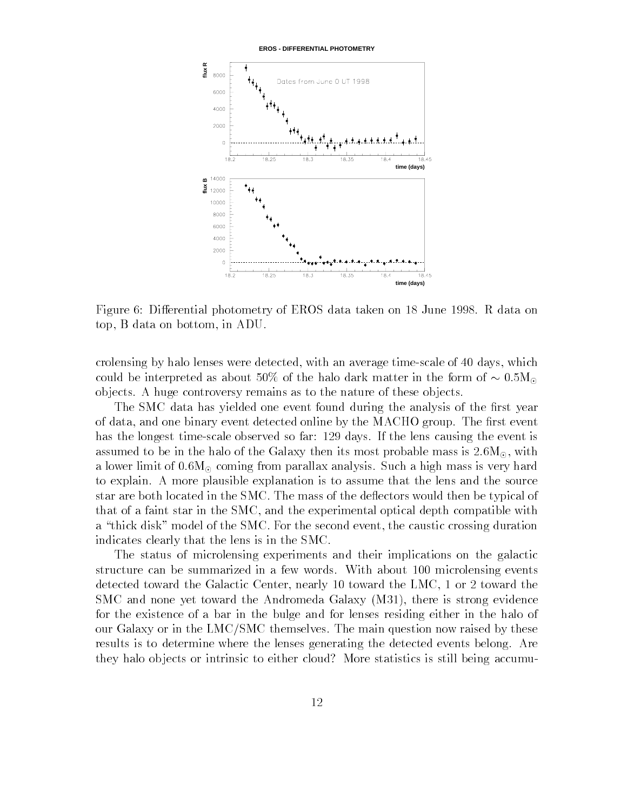**EROS - DIFFERENTIAL PHOTOMETRY**



Figure 6: Differential photometry of EROS data taken on 18 June 1998. R data on top, B data on bottom, in ADU.

crolensing by halo lenses were detected, with an average time-scale of 40 days, which could be interpreted as about 50% of the halo dark matter in the form of  $\sim 0.5M_{\odot}$ objects. A huge controversy remains as to the nature of these objects.

The SMC data has yielded one event found during the analysis of the first year of data, and one binary event detected online by the MACHO group. The first event has the longest time-scale observed so far: 129 days. If the lens causing the event is assumed to be in the halo of the Galaxy then its most probable mass is  $2.6M_{\odot}$ , with a lower limit of  $0.6M_{\odot}$  coming from parallax analysis. Such a high mass is very hard to explain. A more plausible explanation is to assume that the lens and the source star are both located in the SMC. The mass of the deflectors would then be typical of that of a faint star in the SMC, and the experimental optical depth compatible with a "thick disk" model of the SMC. For the second event, the caustic crossing duration indicates clearly that the lens is in the SMC.

The status of microlensing experiments and their implications on the galactic structure can be summarized in a few words. With about 100 microlensing events detected toward the Galactic Center, nearly 10 toward the LMC, 1 or 2 toward the SMC and none yet toward the Andromeda Galaxy (M31), there is strong evidence for the existence of a bar in the bulge and for lenses residing either in the halo of our Galaxy or in the LMC/SMC themselves. The main question now raised by these results is to determine where the lenses generating the detected events belong. Are they halo objects or intrinsic to either cloud? More statistics is still being accumu